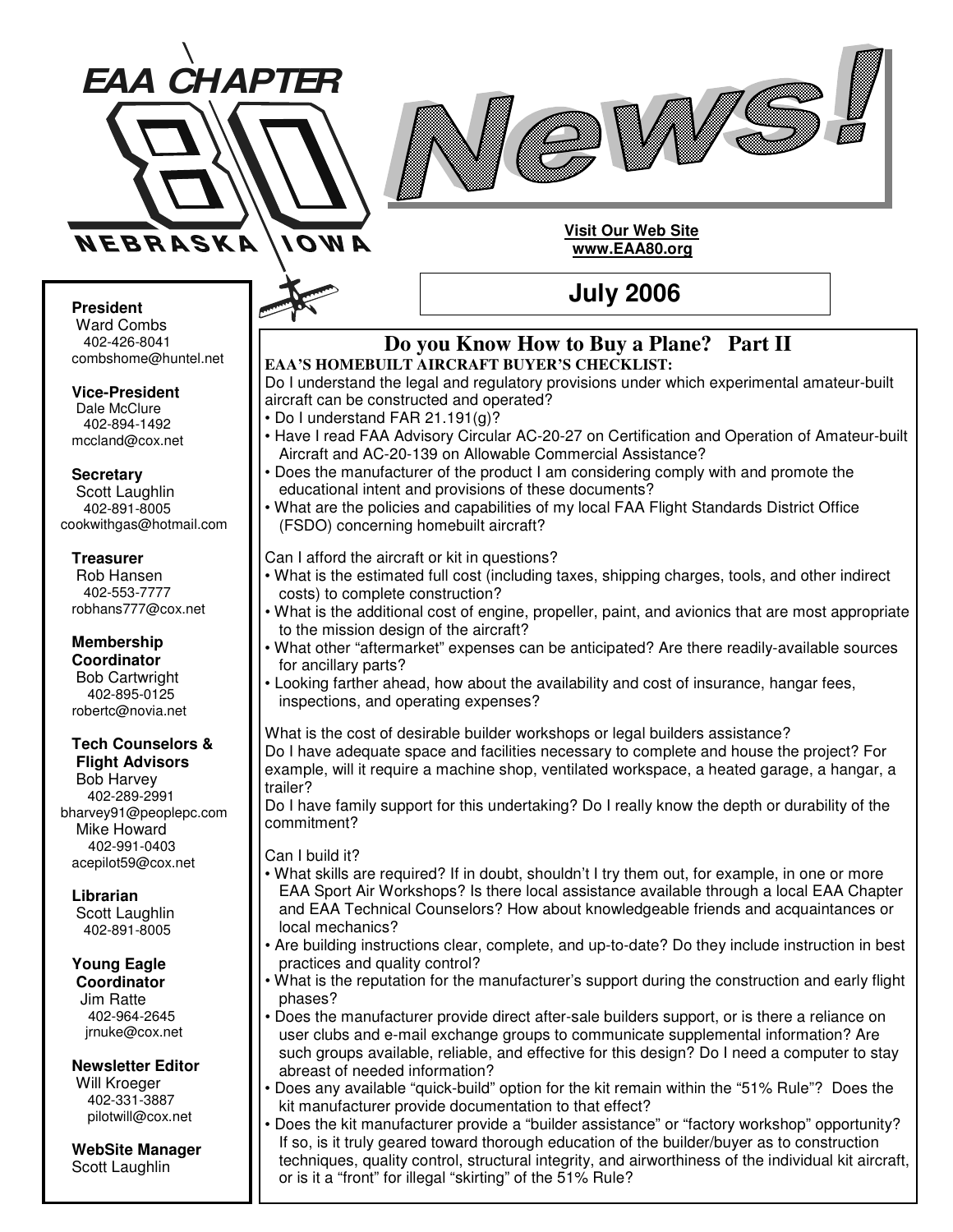



#### **Visit Our Web Site www.EAA80.org**

### **July 2006**

#### **President**

Ward Combs 402-426-8041 combshome@huntel.net

**Vice-President** Dale McClure 402-894-1492 mccland@cox.net

**Secretary** Scott Laughlin 402-891-8005 cookwithgas@hotmail.com

#### **Treasurer**

Rob Hansen 402-553-7777 robhans777@cox.net

**Membership Coordinator** Bob Cartwright 402-895-0125 robertc@novia.net

#### **Tech Counselors & Flight Advisors**

Bob Harvey 402-289-2991 bharvey91@peoplepc.com Mike Howard 402-991-0403 acepilot59@cox.net

#### **Librarian**

Scott Laughlin 402-891-8005

**Young Eagle Coordinator**

Jim Ratte 402-964-2645 jrnuke@cox.net

**Newsletter Editor** Will Kroeger 402-331-3887

**WebSite Manager** Scott Laughlin

pilotwill@cox.net

#### **Do you Know How to Buy a Plane? Part II EAA'S HOMEBUILT AIRCRAFT BUYER'S CHECKLIST:**

Do I understand the legal and regulatory provisions under which experimental amateur-built aircraft can be constructed and operated?

- Do I understand FAR 21.191(g)?
- Have I read FAA Advisory Circular AC-20-27 on Certification and Operation of Amateur-built Aircraft and AC-20-139 on Allowable Commercial Assistance?
- Does the manufacturer of the product I am considering comply with and promote the educational intent and provisions of these documents?
- What are the policies and capabilities of my local FAA Flight Standards District Office (FSDO) concerning homebuilt aircraft?

Can I afford the aircraft or kit in questions?

- What is the estimated full cost (including taxes, shipping charges, tools, and other indirect costs) to complete construction?
	- What is the additional cost of engine, propeller, paint, and avionics that are most appropriate to the mission design of the aircraft?
- What other "aftermarket" expenses can be anticipated? Are there readily-available sources for ancillary parts?
- Looking farther ahead, how about the availability and cost of insurance, hangar fees, inspections, and operating expenses?

What is the cost of desirable builder workshops or legal builders assistance? Do I have adequate space and facilities necessary to complete and house the project? For example, will it require a machine shop, ventilated workspace, a heated garage, a hangar, a trailer?

Do I have family support for this undertaking? Do I really know the depth or durability of the commitment?

Can I build it?

- What skills are required? If in doubt, shouldn't I try them out, for example, in one or more EAA Sport Air Workshops? Is there local assistance available through a local EAA Chapter and EAA Technical Counselors? How about knowledgeable friends and acquaintances or local mechanics?
- Are building instructions clear, complete, and up-to-date? Do they include instruction in best practices and quality control?
- What is the reputation for the manufacturer's support during the construction and early flight phases?
- Does the manufacturer provide direct after-sale builders support, or is there a reliance on user clubs and e-mail exchange groups to communicate supplemental information? Are such groups available, reliable, and effective for this design? Do I need a computer to stay abreast of needed information?
- Does any available "quick-build" option for the kit remain within the "51% Rule"? Does the kit manufacturer provide documentation to that effect?
- Does the kit manufacturer provide a "builder assistance" or "factory workshop" opportunity? If so, is it truly geared toward thorough education of the builder/buyer as to construction techniques, quality control, structural integrity, and airworthiness of the individual kit aircraft, or is it a "front" for illegal "skirting" of the 51% Rule?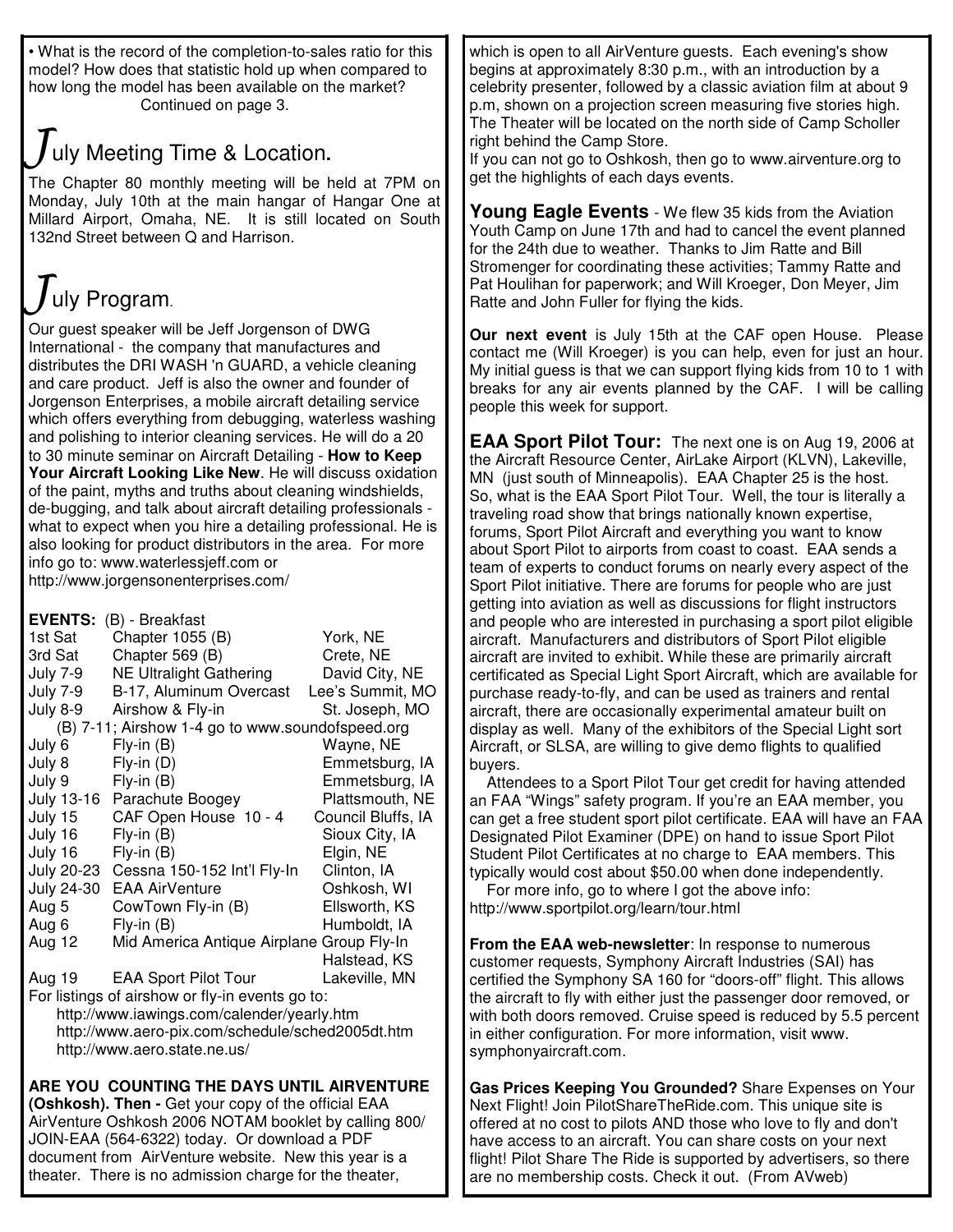• What is the record of the completion-to-sales ratio for this model? How does that statistic hold up when compared to how long the model has been available on the market? Continued on page 3.

## uly Meeting Time & Location**.**

The Chapter 80 monthly meeting will be held at 7PM on Monday, July 10th at the main hangar of Hangar One at Millard Airport, Omaha, NE. It is still located on South 132nd Street between Q and Harrison.

# uly Program.

Our guest speaker will be Jeff Jorgenson of DWG International - the company that manufactures and distributes the DRI WASH 'n GUARD, a vehicle cleaning and care product. Jeff is also the owner and founder of Jorgenson Enterprises, a mobile aircraft detailing service which offers everything from debugging, waterless washing and polishing to interior cleaning services. He will do a 20 to 30 minute seminar on Aircraft Detailing - **How to Keep Your Aircraft Looking Like New**. He will discuss oxidation of the paint, myths and truths about cleaning windshields, de-bugging, and talk about aircraft detailing professionals what to expect when you hire a detailing professional. He is also looking for product distributors in the area. For more info go to: www.waterlessjeff.com or http://www.jorgensonenterprises.com/

**EVENTS:** (B) - Breakfast

| EVENIS:<br>(B) - Breakrast                       |                                           |                    |
|--------------------------------------------------|-------------------------------------------|--------------------|
| 1st Sat                                          | Chapter 1055 (B)                          | York, NE           |
| 3rd Sat                                          | Chapter 569 (B)                           | Crete, NE          |
| July 7-9                                         | <b>NE Ultralight Gathering</b>            | David City, NE     |
| July 7-9                                         | B-17, Aluminum Overcast                   | Lee's Summit, MO   |
| July 8-9                                         | Airshow & Fly-in                          | St. Joseph, MO     |
| (B) 7-11; Airshow 1-4 go to www.soundofspeed.org |                                           |                    |
| July 6                                           | $Fly-in(B)$                               | Wayne, NE          |
| July 8                                           | $Fly-in(D)$                               | Emmetsburg, IA     |
| July 9                                           | $Fly-in(B)$                               | Emmetsburg, IA     |
|                                                  | July 13-16 Parachute Boogey               | Plattsmouth, NE    |
| July 15                                          | CAF Open House 10 - 4                     | Council Bluffs, IA |
| July 16                                          | $Fly-in(B)$                               | Sioux City, IA     |
| July 16                                          | $Fly-in(B)$                               | Elgin, NE          |
|                                                  | July 20-23 Cessna 150-152 Int'l Fly-In    | Clinton, IA        |
| July 24-30                                       | <b>EAA AirVenture</b>                     | Oshkosh, WI        |
| Aug 5                                            | CowTown Fly-in (B)                        | Ellsworth, KS      |
| Aug 6                                            | $Fly$ -in $(B)$                           | Humboldt, IA       |
| Aug 12                                           | Mid America Antique Airplane Group Fly-In |                    |
|                                                  |                                           | Halstead, KS       |
|                                                  | Aug 19 EAA Sport Pilot Tour               | Lakeville, MN      |
| For listings of airshow or fly-in events go to:  |                                           |                    |
| http://www.iawings.com/calender/yearly.htm       |                                           |                    |
| http://www.aero-pix.com/schedule/sched2005dt.htm |                                           |                    |
| http://www.aero.state.ne.us/                     |                                           |                    |
|                                                  |                                           |                    |

**ARE YOU COUNTING THE DAYS UNTIL AIRVENTURE (Oshkosh). Then -** Get your copy of the official EAA AirVenture Oshkosh 2006 NOTAM booklet by calling 800/ JOIN-EAA (564-6322) today. Or download a PDF document from AirVenture website. New this year is a theater. There is no admission charge for the theater,

which is open to all AirVenture guests. Each evening's show begins at approximately 8:30 p.m., with an introduction by a celebrity presenter, followed by a classic aviation film at about 9 p.m, shown on a projection screen measuring five stories high. The Theater will be located on the north side of Camp Scholler right behind the Camp Store.

If you can not go to Oshkosh, then go to www.airventure.org to get the highlights of each days events.

**Young Eagle Events** - We flew 35 kids from the Aviation Youth Camp on June 17th and had to cancel the event planned for the 24th due to weather. Thanks to Jim Ratte and Bill Stromenger for coordinating these activities; Tammy Ratte and Pat Houlihan for paperwork; and Will Kroeger, Don Meyer, Jim Ratte and John Fuller for flying the kids.

**Our next event** is July 15th at the CAF open House. Please contact me (Will Kroeger) is you can help, even for just an hour. My initial guess is that we can support flying kids from 10 to 1 with breaks for any air events planned by the CAF. I will be calling people this week for support.

**EAA Sport Pilot Tour:** The next one is on Aug 19, 2006 at the Aircraft Resource Center, AirLake Airport (KLVN), Lakeville, MN (just south of Minneapolis). EAA Chapter 25 is the host. So, what is the EAA Sport Pilot Tour. Well, the tour is literally a traveling road show that brings nationally known expertise, forums, Sport Pilot Aircraft and everything you want to know about Sport Pilot to airports from coast to coast. EAA sends a team of experts to conduct forums on nearly every aspect of the Sport Pilot initiative. There are forums for people who are just getting into aviation as well as discussions for flight instructors and people who are interested in purchasing a sport pilot eligible aircraft. Manufacturers and distributors of Sport Pilot eligible aircraft are invited to exhibit. While these are primarily aircraft certificated as Special Light Sport Aircraft, which are available for purchase ready-to-fly, and can be used as trainers and rental aircraft, there are occasionally experimental amateur built on display as well. Many of the exhibitors of the Special Light sort Aircraft, or SLSA, are willing to give demo flights to qualified buyers.

Attendees to a Sport Pilot Tour get credit for having attended an FAA "Wings" safety program. If you're an EAA member, you can get a free student sport pilot certificate. EAA will have an FAA Designated Pilot Examiner (DPE) on hand to issue Sport Pilot Student Pilot Certificates at no charge to EAA members. This typically would cost about \$50.00 when done independently.

For more info, go to where I got the above info: http://www.sportpilot.org/learn/tour.html

**From the EAA web-newsletter**: In response to numerous customer requests, Symphony Aircraft Industries (SAI) has certified the Symphony SA 160 for "doors-off" flight. This allows the aircraft to fly with either just the passenger door removed, or with both doors removed. Cruise speed is reduced by 5.5 percent in either configuration. For more information, visit www. symphonyaircraft.com.

**Gas Prices Keeping You Grounded?** Share Expenses on Your Next Flight! Join PilotShareTheRide.com. This unique site is offered at no cost to pilots AND those who love to fly and don't have access to an aircraft. You can share costs on your next flight! Pilot Share The Ride is supported by advertisers, so there are no membership costs. Check it out. (From AVweb)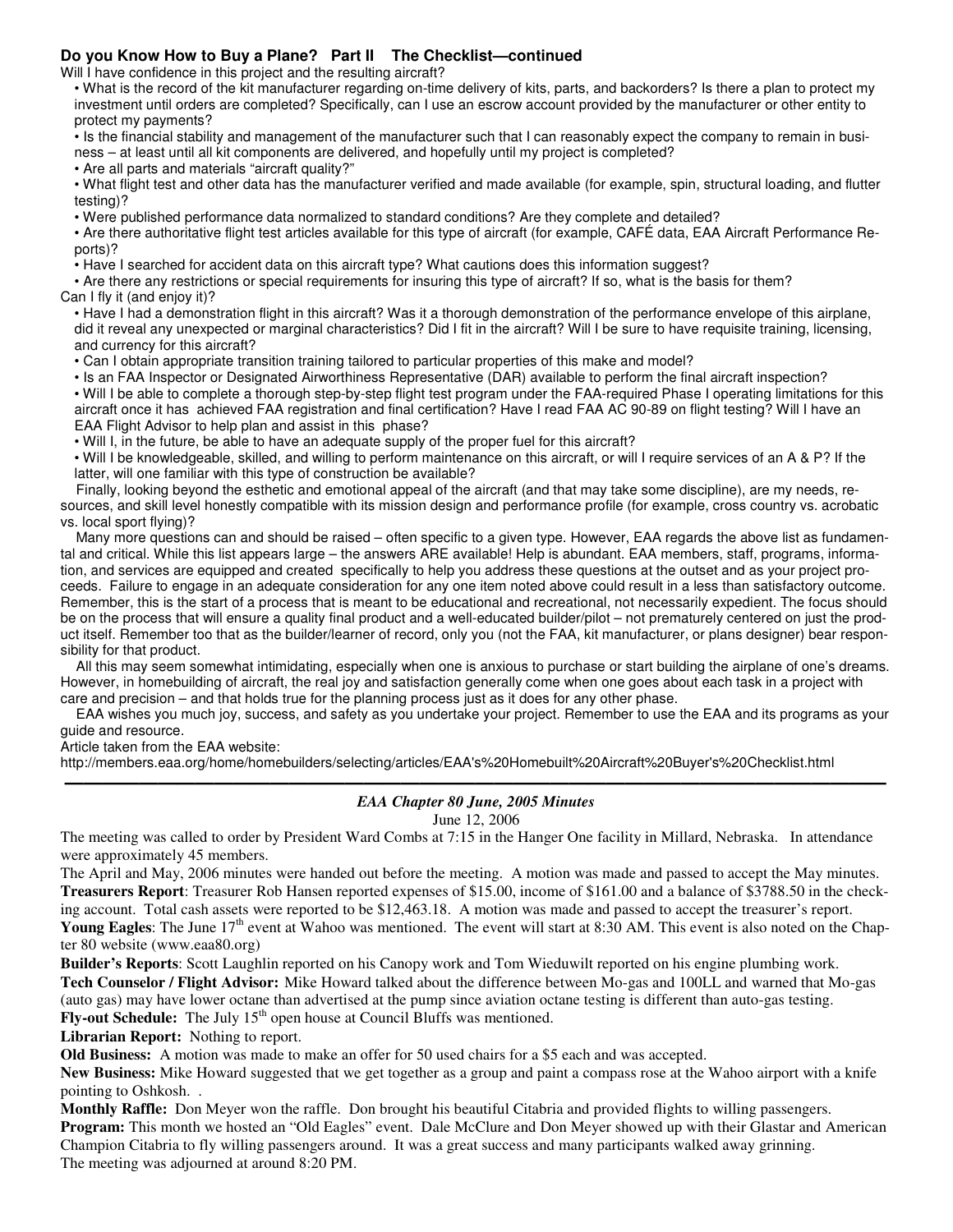#### **Do you Know How to Buy a Plane? Part II The Checklist—continued**

Will I have confidence in this project and the resulting aircraft?

• What is the record of the kit manufacturer regarding on-time delivery of kits, parts, and backorders? Is there a plan to protect my investment until orders are completed? Specifically, can I use an escrow account provided by the manufacturer or other entity to protect my payments?

• Is the financial stability and management of the manufacturer such that I can reasonably expect the company to remain in business – at least until all kit components are delivered, and hopefully until my project is completed?

• Are all parts and materials "aircraft quality?"

• What flight test and other data has the manufacturer verified and made available (for example, spin, structural loading, and flutter testing)?

• Were published performance data normalized to standard conditions? Are they complete and detailed?

• Are there authoritative flight test articles available for this type of aircraft (for example, CAFÉ data, EAA Aircraft Performance Reports)?

• Have I searched for accident data on this aircraft type? What cautions does this information suggest?

• Are there any restrictions or special requirements for insuring this type of aircraft? If so, what is the basis for them? Can I fly it (and enjoy it)?

• Have I had a demonstration flight in this aircraft? Was it a thorough demonstration of the performance envelope of this airplane, did it reveal any unexpected or marginal characteristics? Did I fit in the aircraft? Will I be sure to have requisite training, licensing, and currency for this aircraft?

• Can I obtain appropriate transition training tailored to particular properties of this make and model?

• Is an FAA Inspector or Designated Airworthiness Representative (DAR) available to perform the final aircraft inspection? • Will I be able to complete a thorough step-by-step flight test program under the FAA-required Phase I operating limitations for this aircraft once it has achieved FAA registration and final certification? Have I read FAA AC 90-89 on flight testing? Will I have an EAA Flight Advisor to help plan and assist in this phase?

• Will I, in the future, be able to have an adequate supply of the proper fuel for this aircraft?

• Will I be knowledgeable, skilled, and willing to perform maintenance on this aircraft, or will I require services of an A & P? If the latter, will one familiar with this type of construction be available?

Finally, looking beyond the esthetic and emotional appeal of the aircraft (and that may take some discipline), are my needs, resources, and skill level honestly compatible with its mission design and performance profile (for example, cross country vs. acrobatic vs. local sport flying)?

Many more questions can and should be raised – often specific to a given type. However, EAA regards the above list as fundamental and critical. While this list appears large – the answers ARE available! Help is abundant. EAA members, staff, programs, information, and services are equipped and created specifically to help you address these questions at the outset and as your project proceeds. Failure to engage in an adequate consideration for any one item noted above could result in a less than satisfactory outcome. Remember, this is the start of a process that is meant to be educational and recreational, not necessarily expedient. The focus should be on the process that will ensure a quality final product and a well-educated builder/pilot – not prematurely centered on just the product itself. Remember too that as the builder/learner of record, only you (not the FAA, kit manufacturer, or plans designer) bear responsibility for that product.

All this may seem somewhat intimidating, especially when one is anxious to purchase or start building the airplane of one's dreams. However, in homebuilding of aircraft, the real joy and satisfaction generally come when one goes about each task in a project with care and precision – and that holds true for the planning process just as it does for any other phase.

EAA wishes you much joy, success, and safety as you undertake your project. Remember to use the EAA and its programs as your guide and resource.

Article taken from the EAA website:

http://members.eaa.org/home/homebuilders/selecting/articles/EAA's%20Homebuilt%20Aircraft%20Buyer's%20Checklist.html

#### **————————————————————————————————————————————** *EAA Chapter 80 June, 2005 Minutes*

June 12, 2006

The meeting was called to order by President Ward Combs at 7:15 in the Hanger One facility in Millard, Nebraska. In attendance were approximately 45 members.

The April and May, 2006 minutes were handed out before the meeting. A motion was made and passed to accept the May minutes. **Treasurers Report**: Treasurer Rob Hansen reported expenses of \$15.00, income of \$161.00 and a balance of \$3788.50 in the checking account. Total cash assets were reported to be \$12,463.18. A motion was made and passed to accept the treasurer's report. Young Eagles: The June 17<sup>th</sup> event at Wahoo was mentioned. The event will start at 8:30 AM. This event is also noted on the Chapter 80 website (www.eaa80.org)

**Builder's Reports**: Scott Laughlin reported on his Canopy work and Tom Wieduwilt reported on his engine plumbing work. **Tech Counselor / Flight Advisor:** Mike Howard talked about the difference between Mo-gas and 100LL and warned that Mo-gas (auto gas) may have lower octane than advertised at the pump since aviation octane testing is different than auto-gas testing. Fly-out Schedule: The July 15<sup>th</sup> open house at Council Bluffs was mentioned.

**Librarian Report:** Nothing to report.

**Old Business:** A motion was made to make an offer for 50 used chairs for a \$5 each and was accepted.

**New Business:** Mike Howard suggested that we get together as a group and paint a compass rose at the Wahoo airport with a knife pointing to Oshkosh. .

**Monthly Raffle:** Don Meyer won the raffle. Don brought his beautiful Citabria and provided flights to willing passengers. **Program:** This month we hosted an "Old Eagles" event. Dale McClure and Don Meyer showed up with their Glastar and American Champion Citabria to fly willing passengers around. It was a great success and many participants walked away grinning. The meeting was adjourned at around 8:20 PM.